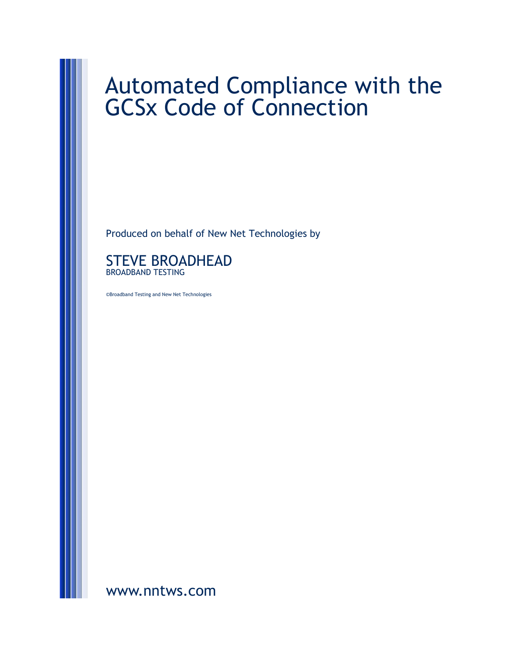# Automated Compliance with the GCSx Code of Connection

Produced on behalf of New Net Technologies by



©Broadband Testing and New Net Technologies

[www.nntws.com](http://www.nntws.com)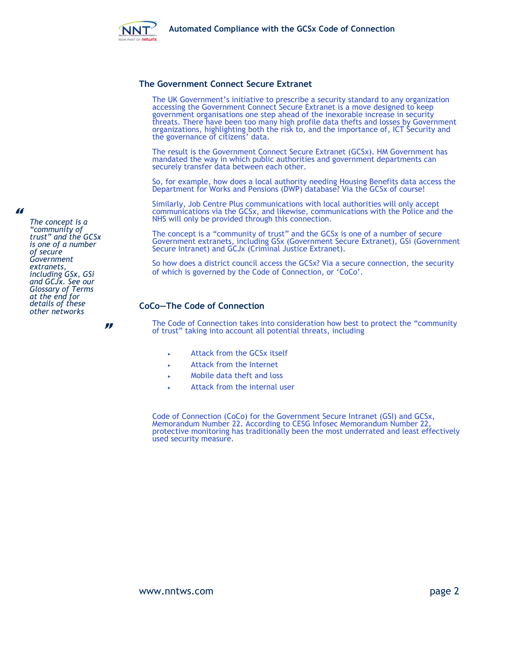

#### **The Government Connect Secure Extranet**

The UK Government's initiative to prescribe a security standard to any organization accessing the Government Connect Secure Extranet is a move designed to keep government organisations one step ahead of the inexorable increase in security threats. There have been too many high profile data thefts and losses by Government organizations, highlighting both the risk to, and the importance of, ICT Security and the governance of citizens' data.

The result is the Government Connect Secure Extranet (GCSx). HM Government has mandated the way in which public authorities and government departments can securely transfer data between each other.

So, for example, how does a local authority needing Housing Benefits data access the Department for Works and Pensions (DWP) database? Via the GCSx of course!

Similarly, Job Centre Plus communications with local authorities will only accept communications via the GCSx, and likewise, communications with the Police and the NHS will only be provided through this connection.

The concept is a "community of trust" and the GCSx is one of a number of secure Government extranets, including GSx (Government Secure Extranet), GSi (Government Secure Intranet) and GCJx (Criminal Justice Extranet).

So how does a district council access the GCSx? Via a secure connection, the security of which is governed by the Code of Connection, or 'CoCo'.

## **CoCo—The Code of Connection**

The Code of Connection takes into consideration how best to protect the "community of trust" taking into account all potential threats, including

- Attack from the GCSx itself
- Attack from the Internet
- Mobile data theft and loss
- Attack from the internal user

Code of Connection (CoCo) for the Government Secure Intranet (GSI) and GCSx, Memorandum Number 22. According to CESG Infosec Memorandum Number 22, protective monitoring has traditionally been the most underrated and least effectively used security measure.

*The concept is a "community of trust" and the GCSx is one of a number of secure Government extranets, including GSx, GSi and GCJx. See our Glossary of Terms at the end for details of these other networks*

"

"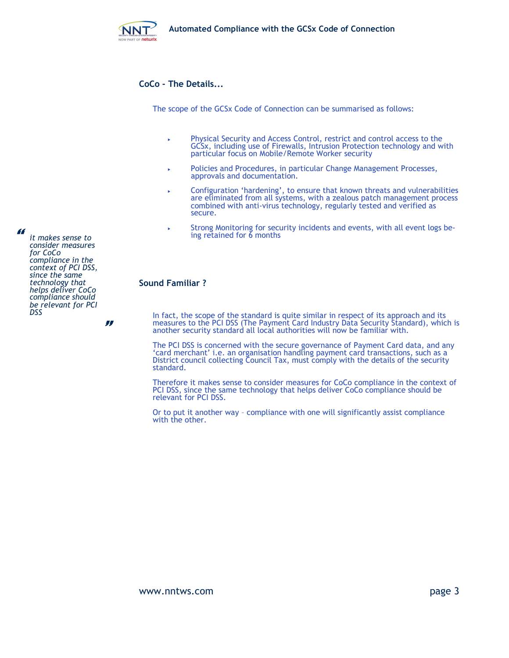

# **CoCo - The Details...**

The scope of the GCSx Code of Connection can be summarised as follows:

- Physical Security and Access Control, restrict and control access to the GCSx, including use of Firewalls, Intrusion Protection technology and with particular focus on Mobile/Remote Worker security
- Policies and Procedures, in particular Change Management Processes, approvals and documentation.
- Configuration 'hardening', to ensure that known threats and vulnerabilities are eliminated from all systems, with a zealous patch management process combined with anti-virus technology, regularly tested and verified as secure.
- Strong Monitoring for security incidents and events, with all event logs being retained for 6 months

# **Sound Familiar ?**

In fact, the scope of the standard is quite similar in respect of its approach and its measures to the PCI DSS (The Payment Card Industry Data Security Standard), which is another security standard all local authorities will now be familiar with.

The PCI DSS is concerned with the secure governance of Payment Card data, and any 'card merchant' i.e. an organisation handling payment card transactions, such as a District council collecting Council Tax, must comply with the details of the security standard.

Therefore it makes sense to consider measures for CoCo compliance in the context of PCI DSS, since the same technology that helps deliver CoCo compliance should be relevant for PCI DSS.

Or to put it another way – compliance with one will significantly assist compliance with the other.

*it makes sense to consider measures for CoCo compliance in the context of PCI DSS, since the same technology that helps deliver CoCo compliance should be relevant for PCI DSS*

"

"